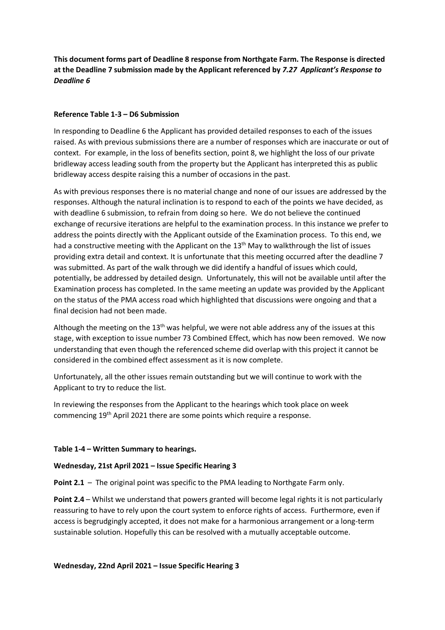**This document forms part of Deadline 8 response from Northgate Farm. The Response is directed at the Deadline 7 submission made by the Applicant referenced by** *7.27 Applicant's Response to Deadline 6* 

## **Reference Table 1-3 – D6 Submission**

In responding to Deadline 6 the Applicant has provided detailed responses to each of the issues raised. As with previous submissions there are a number of responses which are inaccurate or out of context. For example, in the loss of benefits section, point 8, we highlight the loss of our private bridleway access leading south from the property but the Applicant has interpreted this as public bridleway access despite raising this a number of occasions in the past.

As with previous responses there is no material change and none of our issues are addressed by the responses. Although the natural inclination is to respond to each of the points we have decided, as with deadline 6 submission, to refrain from doing so here. We do not believe the continued exchange of recursive iterations are helpful to the examination process. In this instance we prefer to address the points directly with the Applicant outside of the Examination process. To this end, we had a constructive meeting with the Applicant on the 13<sup>th</sup> May to walkthrough the list of issues providing extra detail and context. It is unfortunate that this meeting occurred after the deadline 7 was submitted. As part of the walk through we did identify a handful of issues which could, potentially, be addressed by detailed design. Unfortunately, this will not be available until after the Examination process has completed. In the same meeting an update was provided by the Applicant on the status of the PMA access road which highlighted that discussions were ongoing and that a final decision had not been made.

Although the meeting on the 13<sup>th</sup> was helpful, we were not able address any of the issues at this stage, with exception to issue number 73 Combined Effect, which has now been removed. We now understanding that even though the referenced scheme did overlap with this project it cannot be considered in the combined effect assessment as it is now complete.

Unfortunately, all the other issues remain outstanding but we will continue to work with the Applicant to try to reduce the list.

In reviewing the responses from the Applicant to the hearings which took place on week commencing 19th April 2021 there are some points which require a response.

#### **Table 1-4 – Written Summary to hearings.**

#### **Wednesday, 21st April 2021 – Issue Specific Hearing 3**

**Point 2.1** – The original point was specific to the PMA leading to Northgate Farm only.

**Point 2.4** – Whilst we understand that powers granted will become legal rights it is not particularly reassuring to have to rely upon the court system to enforce rights of access. Furthermore, even if access is begrudgingly accepted, it does not make for a harmonious arrangement or a long-term sustainable solution. Hopefully this can be resolved with a mutually acceptable outcome.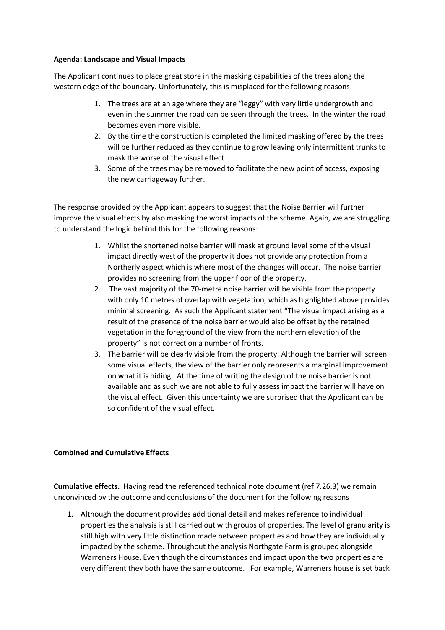## **Agenda: Landscape and Visual Impacts**

The Applicant continues to place great store in the masking capabilities of the trees along the western edge of the boundary. Unfortunately, this is misplaced for the following reasons:

- 1. The trees are at an age where they are "leggy" with very little undergrowth and even in the summer the road can be seen through the trees. In the winter the road becomes even more visible.
- 2. By the time the construction is completed the limited masking offered by the trees will be further reduced as they continue to grow leaving only intermittent trunks to mask the worse of the visual effect.
- 3. Some of the trees may be removed to facilitate the new point of access, exposing the new carriageway further.

The response provided by the Applicant appears to suggest that the Noise Barrier will further improve the visual effects by also masking the worst impacts of the scheme. Again, we are struggling to understand the logic behind this for the following reasons:

- 1. Whilst the shortened noise barrier will mask at ground level some of the visual impact directly west of the property it does not provide any protection from a Northerly aspect which is where most of the changes will occur. The noise barrier provides no screening from the upper floor of the property.
- 2. The vast majority of the 70-metre noise barrier will be visible from the property with only 10 metres of overlap with vegetation, which as highlighted above provides minimal screening. As such the Applicant statement "The visual impact arising as a result of the presence of the noise barrier would also be offset by the retained vegetation in the foreground of the view from the northern elevation of the property" is not correct on a number of fronts.
- 3. The barrier will be clearly visible from the property. Although the barrier will screen some visual effects, the view of the barrier only represents a marginal improvement on what it is hiding. At the time of writing the design of the noise barrier is not available and as such we are not able to fully assess impact the barrier will have on the visual effect. Given this uncertainty we are surprised that the Applicant can be so confident of the visual effect.

# **Combined and Cumulative Effects**

**Cumulative effects.** Having read the referenced technical note document (ref 7.26.3) we remain unconvinced by the outcome and conclusions of the document for the following reasons

1. Although the document provides additional detail and makes reference to individual properties the analysis is still carried out with groups of properties. The level of granularity is still high with very little distinction made between properties and how they are individually impacted by the scheme. Throughout the analysis Northgate Farm is grouped alongside Warreners House. Even though the circumstances and impact upon the two properties are very different they both have the same outcome. For example, Warreners house is set back